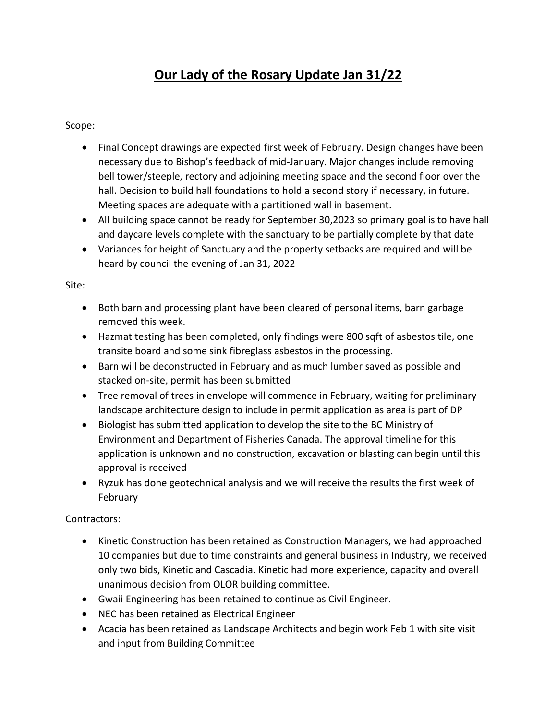## **Our Lady of the Rosary Update Jan 31/22**

Scope:

- Final Concept drawings are expected first week of February. Design changes have been necessary due to Bishop's feedback of mid-January. Major changes include removing bell tower/steeple, rectory and adjoining meeting space and the second floor over the hall. Decision to build hall foundations to hold a second story if necessary, in future. Meeting spaces are adequate with a partitioned wall in basement.
- All building space cannot be ready for September 30,2023 so primary goal is to have hall and daycare levels complete with the sanctuary to be partially complete by that date
- Variances for height of Sanctuary and the property setbacks are required and will be heard by council the evening of Jan 31, 2022

Site:

- Both barn and processing plant have been cleared of personal items, barn garbage removed this week.
- Hazmat testing has been completed, only findings were 800 sqft of asbestos tile, one transite board and some sink fibreglass asbestos in the processing.
- Barn will be deconstructed in February and as much lumber saved as possible and stacked on-site, permit has been submitted
- Tree removal of trees in envelope will commence in February, waiting for preliminary landscape architecture design to include in permit application as area is part of DP
- Biologist has submitted application to develop the site to the BC Ministry of Environment and Department of Fisheries Canada. The approval timeline for this application is unknown and no construction, excavation or blasting can begin until this approval is received
- Ryzuk has done geotechnical analysis and we will receive the results the first week of February

Contractors:

- Kinetic Construction has been retained as Construction Managers, we had approached 10 companies but due to time constraints and general business in Industry, we received only two bids, Kinetic and Cascadia. Kinetic had more experience, capacity and overall unanimous decision from OLOR building committee.
- Gwaii Engineering has been retained to continue as Civil Engineer.
- NEC has been retained as Electrical Engineer
- Acacia has been retained as Landscape Architects and begin work Feb 1 with site visit and input from Building Committee